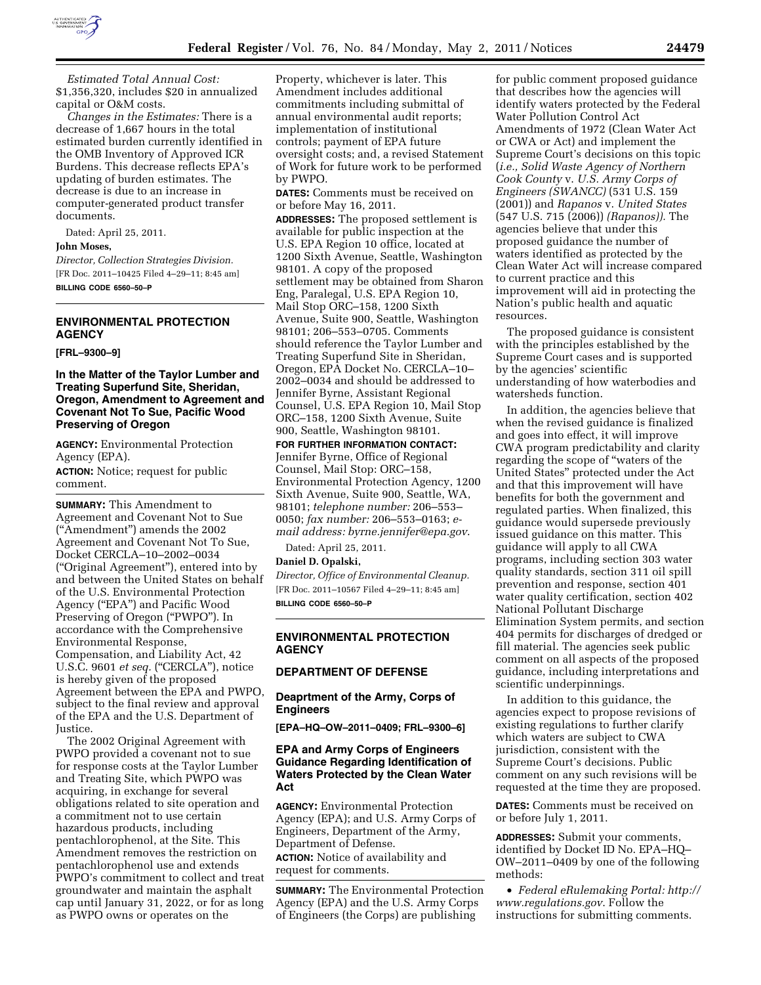

*Estimated Total Annual Cost:*  \$1,356,320, includes \$20 in annualized capital or O&M costs.

*Changes in the Estimates:* There is a decrease of 1,667 hours in the total estimated burden currently identified in the OMB Inventory of Approved ICR Burdens. This decrease reflects EPA's updating of burden estimates. The decrease is due to an increase in computer-generated product transfer documents.

Dated: April 25, 2011.

#### **John Moses,**

*Director, Collection Strategies Division.*  [FR Doc. 2011–10425 Filed 4–29–11; 8:45 am] **BILLING CODE 6560–50–P** 

## **ENVIRONMENTAL PROTECTION AGENCY**

**[FRL–9300–9]** 

## **In the Matter of the Taylor Lumber and Treating Superfund Site, Sheridan, Oregon, Amendment to Agreement and Covenant Not To Sue, Pacific Wood Preserving of Oregon**

**AGENCY:** Environmental Protection Agency (EPA).

**ACTION:** Notice; request for public comment.

**SUMMARY:** This Amendment to Agreement and Covenant Not to Sue (''Amendment'') amends the 2002 Agreement and Covenant Not To Sue, Docket CERCLA–10–2002–0034 (''Original Agreement''), entered into by and between the United States on behalf of the U.S. Environmental Protection Agency (''EPA'') and Pacific Wood Preserving of Oregon (''PWPO''). In accordance with the Comprehensive Environmental Response, Compensation, and Liability Act, 42 U.S.C. 9601 *et seq.* ("CERCLA"), notice is hereby given of the proposed Agreement between the EPA and PWPO, subject to the final review and approval of the EPA and the U.S. Department of Justice.

The 2002 Original Agreement with PWPO provided a covenant not to sue for response costs at the Taylor Lumber and Treating Site, which PWPO was acquiring, in exchange for several obligations related to site operation and a commitment not to use certain hazardous products, including pentachlorophenol, at the Site. This Amendment removes the restriction on pentachlorophenol use and extends PWPO's commitment to collect and treat groundwater and maintain the asphalt cap until January 31, 2022, or for as long as PWPO owns or operates on the

Property, whichever is later. This Amendment includes additional commitments including submittal of annual environmental audit reports; implementation of institutional controls; payment of EPA future oversight costs; and, a revised Statement of Work for future work to be performed by PWPO.

**DATES:** Comments must be received on or before May 16, 2011.

**ADDRESSES:** The proposed settlement is available for public inspection at the U.S. EPA Region 10 office, located at 1200 Sixth Avenue, Seattle, Washington 98101. A copy of the proposed settlement may be obtained from Sharon Eng, Paralegal, U.S. EPA Region 10, Mail Stop ORC–158, 1200 Sixth Avenue, Suite 900, Seattle, Washington 98101; 206–553–0705. Comments should reference the Taylor Lumber and Treating Superfund Site in Sheridan, Oregon, EPA Docket No. CERCLA–10– 2002–0034 and should be addressed to Jennifer Byrne, Assistant Regional Counsel, U.S. EPA Region 10, Mail Stop ORC–158, 1200 Sixth Avenue, Suite 900, Seattle, Washington 98101.

**FOR FURTHER INFORMATION CONTACT:**  Jennifer Byrne, Office of Regional Counsel, Mail Stop: ORC–158, Environmental Protection Agency, 1200 Sixth Avenue, Suite 900, Seattle, WA, 98101; *telephone number:* 206–553– 0050; *fax number:* 206–553–0163; *email address: [byrne.jennifer@epa.gov](mailto:byrne.jennifer@epa.gov)*.

Dated: April 25, 2011.

# **Daniel D. Opalski,**

*Director, Office of Environmental Cleanup.*  [FR Doc. 2011–10567 Filed 4–29–11; 8:45 am] **BILLING CODE 6560–50–P** 

#### **ENVIRONMENTAL PROTECTION AGENCY**

### **DEPARTMENT OF DEFENSE**

**Deaprtment of the Army, Corps of Engineers** 

**[EPA–HQ–OW–2011–0409; FRL–9300–6]** 

#### **EPA and Army Corps of Engineers Guidance Regarding Identification of Waters Protected by the Clean Water Act**

**AGENCY:** Environmental Protection Agency (EPA); and U.S. Army Corps of Engineers, Department of the Army, Department of Defense.

**ACTION:** Notice of availability and request for comments.

**SUMMARY:** The Environmental Protection Agency (EPA) and the U.S. Army Corps of Engineers (the Corps) are publishing

for public comment proposed guidance that describes how the agencies will identify waters protected by the Federal Water Pollution Control Act Amendments of 1972 (Clean Water Act or CWA or Act) and implement the Supreme Court's decisions on this topic (*i.e., Solid Waste Agency of Northern Cook County* v. *U.S. Army Corps of Engineers (SWANCC)* (531 U.S. 159 (2001)) and *Rapanos* v. *United States*  (547 U.S. 715 (2006)) *(Rapanos)).* The agencies believe that under this proposed guidance the number of waters identified as protected by the Clean Water Act will increase compared to current practice and this improvement will aid in protecting the Nation's public health and aquatic resources.

The proposed guidance is consistent with the principles established by the Supreme Court cases and is supported by the agencies' scientific understanding of how waterbodies and watersheds function.

In addition, the agencies believe that when the revised guidance is finalized and goes into effect, it will improve CWA program predictability and clarity regarding the scope of ''waters of the United States'' protected under the Act and that this improvement will have benefits for both the government and regulated parties. When finalized, this guidance would supersede previously issued guidance on this matter. This guidance will apply to all CWA programs, including section 303 water quality standards, section 311 oil spill prevention and response, section 401 water quality certification, section 402 National Pollutant Discharge Elimination System permits, and section 404 permits for discharges of dredged or fill material. The agencies seek public comment on all aspects of the proposed guidance, including interpretations and scientific underpinnings.

In addition to this guidance, the agencies expect to propose revisions of existing regulations to further clarify which waters are subject to CWA jurisdiction, consistent with the Supreme Court's decisions. Public comment on any such revisions will be requested at the time they are proposed.

**DATES:** Comments must be received on or before July 1, 2011.

**ADDRESSES:** Submit your comments, identified by Docket ID No. EPA–HQ– OW–2011–0409 by one of the following methods:

• *Federal eRulemaking Portal: [http://](http://www.regulations.gov)  [www.regulations.gov](http://www.regulations.gov)*. Follow the instructions for submitting comments.